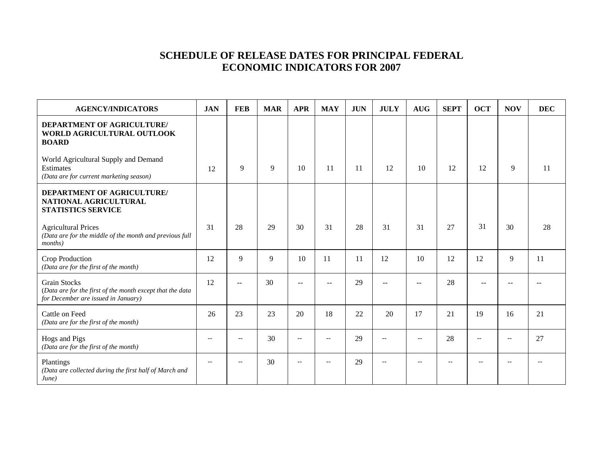## **SCHEDULE OF RELEASE DATES FOR PRINCIPAL FEDERAL ECONOMIC INDICATORS FOR 2007**

| <b>AGENCY/INDICATORS</b>                                                                                                | <b>JAN</b> | <b>FEB</b>               | <b>MAR</b> | <b>APR</b>               | <b>MAY</b> | <b>JUN</b> | <b>JULY</b>              | <b>AUG</b>               | <b>SEPT</b> | <b>OCT</b>        | <b>NOV</b>               | <b>DEC</b> |
|-------------------------------------------------------------------------------------------------------------------------|------------|--------------------------|------------|--------------------------|------------|------------|--------------------------|--------------------------|-------------|-------------------|--------------------------|------------|
| DEPARTMENT OF AGRICULTURE/<br>WORLD AGRICULTURAL OUTLOOK<br><b>BOARD</b>                                                |            |                          |            |                          |            |            |                          |                          |             |                   |                          |            |
| World Agricultural Supply and Demand<br><b>Estimates</b><br>(Data are for current marketing season)                     | 12         | 9                        | 9          | 10                       | 11         | 11         | 12                       | 10                       | 12          | 12                | 9                        | 11         |
| <b>DEPARTMENT OF AGRICULTURE/</b><br>NATIONAL AGRICULTURAL<br><b>STATISTICS SERVICE</b>                                 |            |                          |            |                          |            |            |                          |                          |             |                   |                          |            |
| <b>Agricultural Prices</b><br>(Data are for the middle of the month and previous full<br><i>months</i> )                | 31         | 28                       | 29         | 30                       | 31         | 28         | 31                       | 31                       | 27          | 31                | 30                       | 28         |
| Crop Production<br>(Data are for the first of the month)                                                                | 12         | 9                        | 9          | 10                       | -11        | 11         | 12                       | 10                       | 12          | 12                | 9                        | 11         |
| <b>Grain Stocks</b><br>(Data are for the first of the month except that the data<br>for December are issued in January) | 12         |                          | 30         | $\overline{a}$           |            | 29         |                          |                          | 28          |                   |                          |            |
| Cattle on Feed<br>(Data are for the first of the month)                                                                 | 26         | 23                       | 23         | 20                       | 18         | 22         | 20                       | 17                       | 21          | 19                | 16                       | 21         |
| Hogs and Pigs<br>(Data are for the first of the month)                                                                  | $-$        | $\overline{\phantom{m}}$ | 30         | $\overline{\phantom{a}}$ | $-$        | 29         | $\overline{\phantom{a}}$ | $\overline{\phantom{m}}$ | 28          | $-\,-$            | $\overline{\phantom{m}}$ | 27         |
| Plantings<br>(Data are collected during the first half of March and<br>June)                                            | $-$        | $-$                      | 30         | $\overline{\phantom{a}}$ | $-$        | 29         | $-$                      | $\overline{\phantom{m}}$ | $-$         | $\qquad \qquad -$ | $\overline{\phantom{a}}$ |            |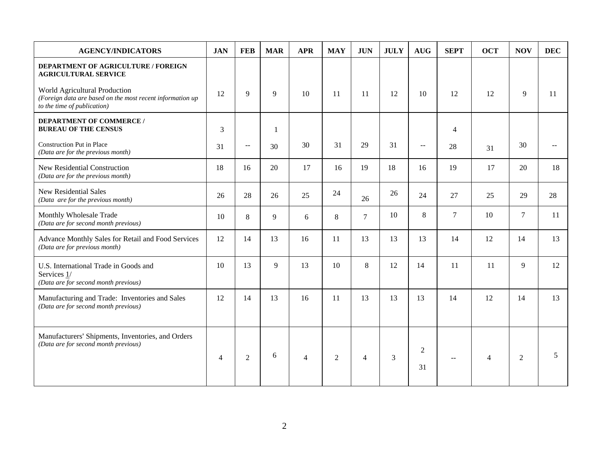| <b>AGENCY/INDICATORS</b>                                                                                                  | <b>JAN</b>     | <b>FEB</b>     | <b>MAR</b> | <b>APR</b>     | <b>MAY</b>     | <b>JUN</b>     | <b>JULY</b> | <b>AUG</b>             | <b>SEPT</b>    | <b>OCT</b>     | <b>NOV</b>     | <b>DEC</b>    |
|---------------------------------------------------------------------------------------------------------------------------|----------------|----------------|------------|----------------|----------------|----------------|-------------|------------------------|----------------|----------------|----------------|---------------|
| DEPARTMENT OF AGRICULTURE / FOREIGN<br><b>AGRICULTURAL SERVICE</b>                                                        |                |                |            |                |                |                |             |                        |                |                |                |               |
| World Agricultural Production<br>(Foreign data are based on the most recent information up<br>to the time of publication) | 12             | 9              | 9          | 10             | 11             | 11             | 12          | 10                     | 12             | 12             | 9              | 11            |
| <b>DEPARTMENT OF COMMERCE /</b><br><b>BUREAU OF THE CENSUS</b>                                                            | 3              |                | 1          |                |                |                |             |                        | $\overline{4}$ |                |                |               |
| Construction Put in Place<br>(Data are for the previous month)                                                            | 31             | $ -$           | 30         | 30             | 31             | 29             | 31          | $\overline{a}$         | 28             | 31             | 30             | $\sim$ $\sim$ |
| New Residential Construction<br>(Data are for the previous month)                                                         | 18             | 16             | 20         | 17             | 16             | 19             | 18          | 16                     | 19             | 17             | 20             | 18            |
| <b>New Residential Sales</b><br>(Data are for the previous month)                                                         | 26             | 28             | 26         | 25             | 24             | 26             | 26          | 24                     | 27             | 25             | 29             | 28            |
| Monthly Wholesale Trade<br>(Data are for second month previous)                                                           | 10             | 8              | 9          | 6              | 8              | $\tau$         | 10          | $\,8\,$                | $\overline{7}$ | 10             | $\tau$         | 11            |
| Advance Monthly Sales for Retail and Food Services<br>(Data are for previous month)                                       | 12             | 14             | 13         | 16             | 11             | 13             | 13          | 13                     | 14             | 12             | 14             | 13            |
| U.S. International Trade in Goods and<br>Services 1/<br>(Data are for second month previous)                              | 10             | 13             | 9          | 13             | 10             | 8              | 12          | 14                     | 11             | 11             | 9              | 12            |
| Manufacturing and Trade: Inventories and Sales<br>(Data are for second month previous)                                    | 12             | 14             | 13         | 16             | 11             | 13             | 13          | 13                     | 14             | 12             | 14             | 13            |
| Manufacturers' Shipments, Inventories, and Orders<br>(Data are for second month previous)                                 | $\overline{4}$ | $\overline{2}$ | 6          | $\overline{4}$ | $\overline{2}$ | $\overline{4}$ | 3           | $\boldsymbol{2}$<br>31 | $\sim$ $\sim$  | $\overline{4}$ | $\overline{2}$ | 5             |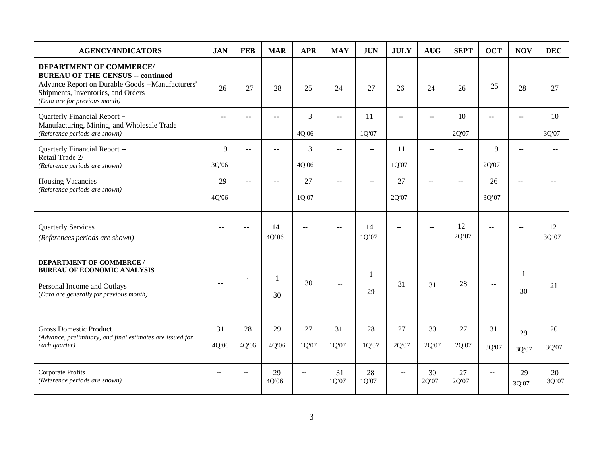| <b>AGENCY/INDICATORS</b>                                                                                                                                                                              | <b>JAN</b>  | <b>FEB</b>               | <b>MAR</b>  | <b>APR</b>                | <b>MAY</b>               | <b>JUN</b>               | <b>JULY</b>    | <b>AUG</b>     | <b>SEPT</b>    | <b>OCT</b>               | <b>NOV</b>               | <b>DEC</b>  |
|-------------------------------------------------------------------------------------------------------------------------------------------------------------------------------------------------------|-------------|--------------------------|-------------|---------------------------|--------------------------|--------------------------|----------------|----------------|----------------|--------------------------|--------------------------|-------------|
| <b>DEPARTMENT OF COMMERCE/</b><br><b>BUREAU OF THE CENSUS -- continued</b><br>Advance Report on Durable Goods --Manufacturers'<br>Shipments, Inventories, and Orders<br>(Data are for previous month) | 26          | 27                       | 28          | 25                        | 24                       | 27                       | 26             | 24             | 26             | 25                       | 28                       | 27          |
| Quarterly Financial Report -<br>Manufacturing, Mining, and Wholesale Trade<br>(Reference periods are shown)                                                                                           | $-$         |                          | $- -$       | 3<br>4Q'06                | --                       | 11<br>1Q'07              |                | $-$            | 10<br>2Q'07    | $-$                      | --                       | 10<br>3Q'07 |
| Quarterly Financial Report --<br>Retail Trade 2/<br>(Reference periods are shown)                                                                                                                     | 9<br>3Q'06  | $\overline{a}$           | $\sim$      | 3<br>4Q'06                | $\sim$                   | $\overline{\phantom{a}}$ | 11<br>1Q'07    | $\sim$         | $\overline{a}$ | 9<br>2Q'07               | $\sim$                   |             |
| <b>Housing Vacancies</b><br>(Reference periods are shown)                                                                                                                                             | 29<br>4Q'06 | $\overline{a}$           | $-1$        | 27<br>1Q'07               | $\sim$                   | $\mathbf{u}$             | 27<br>2Q'07    | $\overline{a}$ | $\overline{a}$ | 26<br>3Q'07              | $-$                      |             |
| <b>Quarterly Services</b><br>(References periods are shown)                                                                                                                                           | $-$         | $\overline{\phantom{m}}$ | 14<br>4Q'06 | $\mathbf{u}$              | $-$                      | 14<br>1Q'07              | $\mathbf{u}$   | $\sim$         | 12<br>2Q'07    | $- -$                    | $\overline{\phantom{a}}$ | 12<br>3Q'07 |
| <b>DEPARTMENT OF COMMERCE /</b><br><b>BUREAU OF ECONOMIC ANALYSIS</b><br>Personal Income and Outlays<br>(Data are generally for previous month)                                                       | $-$         | 1                        | 1<br>30     | 30                        | $\overline{\phantom{a}}$ | 1<br>29                  | 31             | 31             | 28             | $\overline{a}$           | -1<br>30                 | 21          |
| <b>Gross Domestic Product</b><br>(Advance, preliminary, and final estimates are issued for<br>each quarter)                                                                                           | 31<br>4Q'06 | 28<br>4Q'06              | 29<br>4Q'06 | 27<br>1Q'07               | 31<br>1Q'07              | 28<br>1Q'07              | 27<br>2Q'07    | 30<br>2Q'07    | 27<br>2Q'07    | 31<br>3Q'07              | 29<br>3Q'07              | 20<br>3Q'07 |
| Corporate Profits<br>(Reference periods are shown)                                                                                                                                                    | $-$         | $-$                      | 29<br>4Q'06 | $\mathbb{L}^{\mathbb{L}}$ | 31<br>1Q'07              | 28<br>1Q'07              | $\overline{a}$ | 30<br>2Q'07    | 27<br>2Q'07    | $\overline{\phantom{m}}$ | 29<br>3Q'07              | 20<br>3Q'07 |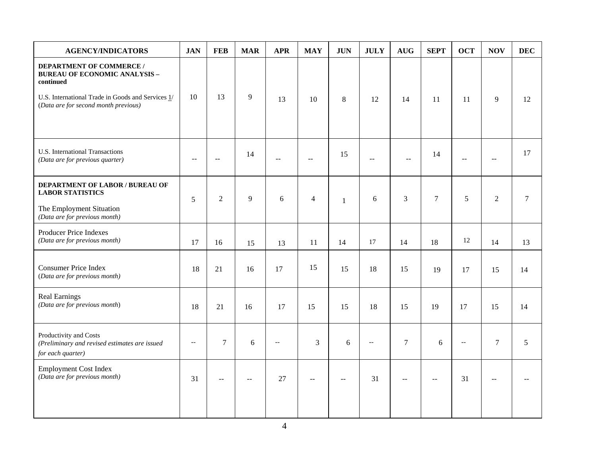| <b>AGENCY/INDICATORS</b>                                                                                                                                                          | <b>JAN</b>     | <b>FEB</b>     | <b>MAR</b>    | <b>APR</b>               | <b>MAY</b>     | <b>JUN</b>   | <b>JULY</b>    | $\mathbf{A}\mathbf{U}\mathbf{G}$ | <b>SEPT</b>      | <b>OCT</b>               | <b>NOV</b>                                    | <b>DEC</b>     |
|-----------------------------------------------------------------------------------------------------------------------------------------------------------------------------------|----------------|----------------|---------------|--------------------------|----------------|--------------|----------------|----------------------------------|------------------|--------------------------|-----------------------------------------------|----------------|
| <b>DEPARTMENT OF COMMERCE /</b><br><b>BUREAU OF ECONOMIC ANALYSIS -</b><br>continued<br>U.S. International Trade in Goods and Services 1/<br>(Data are for second month previous) | 10             | 13             | 9             | 13                       | 10             | $\,8\,$      | 12             | 14                               | 11               | 11                       | 9                                             | 12             |
| <b>U.S. International Transactions</b><br>(Data are for previous quarter)                                                                                                         | $\sim$ $\sim$  | $\sim$ $\sim$  | 14            | $-$                      | $\sim$         | 15           | $\mathbf{u}$   | $-$                              | 14               | $- -$                    | $\mathord{\hspace{1pt}\text{--}\hspace{1pt}}$ | 17             |
| DEPARTMENT OF LABOR / BUREAU OF<br><b>LABOR STATISTICS</b><br>The Employment Situation<br>(Data are for previous month)                                                           | 5              | $\overline{2}$ | 9             | 6                        | $\overline{4}$ | $\mathbf{1}$ | 6              | 3                                | $\boldsymbol{7}$ | 5                        | $\overline{2}$                                | $\overline{7}$ |
| Producer Price Indexes<br>(Data are for previous month)                                                                                                                           | 17             | 16             | 15            | 13                       | 11             | 14           | 17             | 14                               | 18               | 12                       | 14                                            | 13             |
| <b>Consumer Price Index</b><br>(Data are for previous month)                                                                                                                      | 18             | 21             | 16            | 17                       | 15             | 15           | 18             | 15                               | 19               | 17                       | 15                                            | 14             |
| <b>Real Earnings</b><br>(Data are for previous month)                                                                                                                             | 18             | 21             | 16            | 17                       | 15             | 15           | 18             | 15                               | 19               | 17                       | 15                                            | 14             |
| Productivity and Costs<br>(Preliminary and revised estimates are issued<br>for each quarter)                                                                                      | $\overline{a}$ | $\overline{7}$ | 6             | $\overline{\phantom{a}}$ | 3              | 6            | $\overline{a}$ | $\overline{7}$                   | 6                | $\overline{\phantom{a}}$ | $\overline{7}$                                | 5              |
| <b>Employment Cost Index</b><br>(Data are for previous month)                                                                                                                     | 31             | $\overline{a}$ | $\sim$ $\sim$ | 27                       | $\sim$         | --           | 31             | $\overline{a}$                   | $\sim$           | 31                       | $\sim$                                        |                |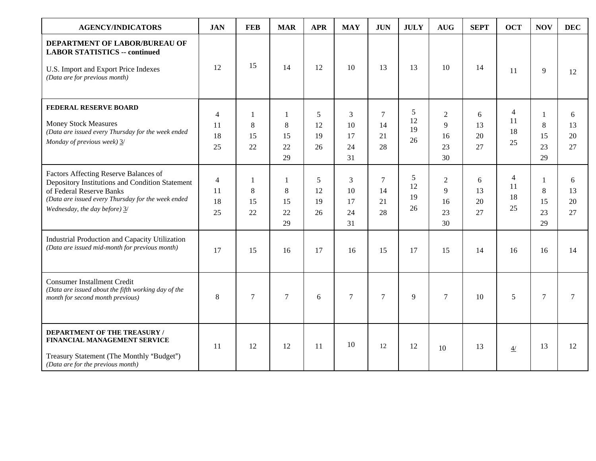| <b>AGENCY/INDICATORS</b>                                                                                                                                                                                    | <b>JAN</b>                       | <b>FEB</b>                    | <b>MAR</b>                | <b>APR</b>          | <b>MAY</b>                | <b>JUN</b>                       | <b>JULY</b>                      | <b>AUG</b>                          | <b>SEPT</b>         | <b>OCT</b>          | <b>NOV</b>               | <b>DEC</b>          |
|-------------------------------------------------------------------------------------------------------------------------------------------------------------------------------------------------------------|----------------------------------|-------------------------------|---------------------------|---------------------|---------------------------|----------------------------------|----------------------------------|-------------------------------------|---------------------|---------------------|--------------------------|---------------------|
| DEPARTMENT OF LABOR/BUREAU OF<br><b>LABOR STATISTICS -- continued</b><br>U.S. Import and Export Price Indexes<br>(Data are for previous month)                                                              | 12                               | 15                            | 14                        | 12                  | 10                        | 13                               | 13                               | 10                                  | 14                  | 11                  | 9                        | 12                  |
| FEDERAL RESERVE BOARD<br><b>Money Stock Measures</b><br>(Data are issued every Thursday for the week ended<br>Monday of previous week) 3/                                                                   | $\overline{4}$<br>11<br>18<br>25 | $\mathbf{1}$<br>8<br>15<br>22 | 1<br>8<br>15<br>22<br>29  | 5<br>12<br>19<br>26 | 3<br>10<br>17<br>24<br>31 | $\overline{7}$<br>14<br>21<br>28 | 5<br>12<br>19<br>26              | 2<br>$\mathbf{Q}$<br>16<br>23<br>30 | 6<br>13<br>20<br>27 | 4<br>11<br>18<br>25 | 1<br>8<br>15<br>23<br>29 | 6<br>13<br>20<br>27 |
| Factors Affecting Reserve Balances of<br>Depository Institutions and Condition Statement<br>of Federal Reserve Banks<br>(Data are issued every Thursday for the week ended<br>Wednesday, the day before) 3/ | $\overline{4}$<br>11<br>18<br>25 | 1<br>8<br>15<br>22            | -1<br>8<br>15<br>22<br>29 | 5<br>12<br>19<br>26 | 3<br>10<br>17<br>24<br>31 | $\tau$<br>14<br>21<br>28         | $\mathfrak{S}$<br>12<br>19<br>26 | 2<br>9<br>16<br>23<br>30            | 6<br>13<br>20<br>27 | 4<br>11<br>18<br>25 | 1<br>8<br>15<br>23<br>29 | 6<br>13<br>20<br>27 |
| Industrial Production and Capacity Utilization<br>(Data are issued mid-month for previous month)                                                                                                            | 17                               | 15                            | 16                        | 17                  | 16                        | 15                               | 17                               | 15                                  | 14                  | 16                  | 16                       | 14                  |
| <b>Consumer Installment Credit</b><br>(Data are issued about the fifth working day of the<br>month for second month previous)                                                                               | 8                                | $\tau$                        | $\overline{7}$            | 6                   | $\overline{7}$            | $\overline{7}$                   | 9                                | $\overline{7}$                      | 10                  | 5                   | $\overline{7}$           | $\overline{7}$      |
| <b>DEPARTMENT OF THE TREASURY /</b><br>FINANCIAL MANAGEMENT SERVICE<br>Treasury Statement (The Monthly "Budget")<br>(Data are for the previous month)                                                       | 11                               | 12                            | 12                        | 11                  | 10                        | 12                               | 12                               | 10                                  | 13                  | 4/                  | 13                       | 12                  |